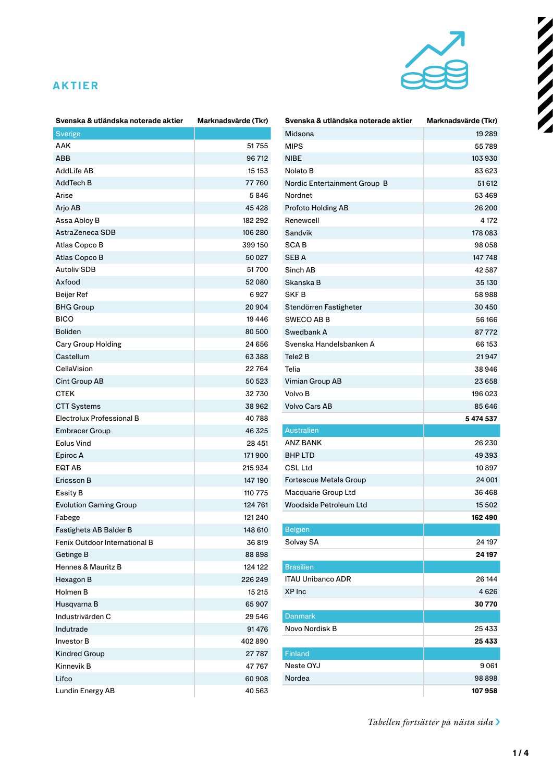

#### **AKTIER**

| Svenska & utländska noterade aktier | Marknadsvärde (Tkr) |
|-------------------------------------|---------------------|
| <b>Sverige</b>                      |                     |
| AAK                                 | 51755               |
| ABB                                 | 96 712              |
| AddLife AB                          | 15 153              |
| AddTech B                           | 77760               |
| Arise                               | 5846                |
| Arjo AB                             | 45 428              |
| Assa Abloy B                        | 182 292             |
| AstraZeneca SDB                     | 106 280             |
| Atlas Copco B                       | 399 150             |
| Atlas Copco B                       | 50 027              |
| <b>Autoliv SDB</b>                  | 51700               |
| Axfood                              | 52080               |
| Beijer Ref                          | 6927                |
| <b>BHG Group</b>                    | 20904               |
| <b>BICO</b>                         | 19446               |
| <b>Boliden</b>                      | 80 500              |
| Cary Group Holding                  | 24 656              |
| Castellum                           | 63 388              |
| CellaVision                         | 22764               |
| Cint Group AB                       | 50 523              |
| CTEK                                | 32730               |
| <b>CTT Systems</b>                  | 38962               |
| Electrolux Professional B           | 40788               |
| <b>Embracer Group</b>               | 46 325              |
| <b>Eolus Vind</b>                   | 28 451              |
| Epiroc A                            | 171900              |
| EQT AB                              | 215934              |
| Ericsson B                          | 147 190             |
| <b>Essity B</b>                     | 110 775             |
| <b>Evolution Gaming Group</b>       | 124 761             |
| Fabege                              | 121 240             |
| Fastighets AB Balder B              | 148 610             |
| Fenix Outdoor International B       | 36 819              |
| <b>Getinge B</b>                    | 88898               |
| Hennes & Mauritz B                  | 124 122             |
| Hexagon B                           | 226 249             |
| Holmen B                            | 15 215              |
| Husqvarna B                         | 65907               |
| Industrivärden C                    | 29 546              |
| Indutrade                           | 91476               |
| <b>Investor B</b>                   | 402890              |
| <b>Kindred Group</b>                | 27787               |
| Kinnevik B                          | 47767               |
| Lifco                               | 60 908              |
| Lundin Energy AB                    | 40 563              |

| Svenska & utländska noterade aktier | Marknadsvärde (Tkr) |
|-------------------------------------|---------------------|
| Midsona                             | 19 28 9             |
| <b>MIPS</b>                         | 55789               |
| <b>NIBE</b>                         | 103930              |
| Nolato B                            | 83623               |
| Nordic Entertainment Group B        | 51 612              |
| Nordnet                             | 53 469              |
| Profoto Holding AB                  | 26 200              |
| Renewcell                           | 4 172               |
| Sandvik                             | 178 083             |
| SCA B                               | 98 058              |
| <b>SEBA</b>                         | 147 748             |
| Sinch AB                            | 42587               |
| Skanska B                           | 35 130              |
| <b>SKFB</b>                         | 58988               |
| Stendörren Fastigheter              | 30 450              |
| <b>SWECO AB B</b>                   | 56 166              |
| Swedbank A                          | 87772               |
| Svenska Handelsbanken A             | 66 153              |
| Tele <sub>2</sub> B                 | 21947               |
| Telia                               | 38946               |
| Vimian Group AB                     | 23 658              |
| Volvo B                             | 196 023             |
| <b>Volvo Cars AB</b>                | 85 646              |
|                                     | 5 474 537           |
| <b>Australien</b>                   |                     |
| <b>ANZ BANK</b>                     | 26 230              |
| <b>BHP LTD</b>                      | 49 393              |
| <b>CSL Ltd</b>                      | 10897               |
| <b>Fortescue Metals Group</b>       | 24 001              |
| Macquarie Group Ltd                 | 36468               |
| Woodside Petroleum Ltd              | 15 502              |
|                                     | 162490              |
| <b>Belgien</b>                      |                     |
| Solvay SA                           | 24 197              |
|                                     | 24 197              |
| <b>Brasilien</b>                    |                     |
| <b>ITAU Unibanco ADR</b>            | 26 144              |
| XP Inc                              | 4 626               |
|                                     | 30 770              |
| <b>Danmark</b>                      |                     |
| Novo Nordisk B                      | 25433               |
|                                     | 25433               |
| Finland                             |                     |
| Neste OYJ                           | 9061                |
| Nordea                              | 98898               |
|                                     | 107958              |

*Tabellen fortsätter på nästa sida* ›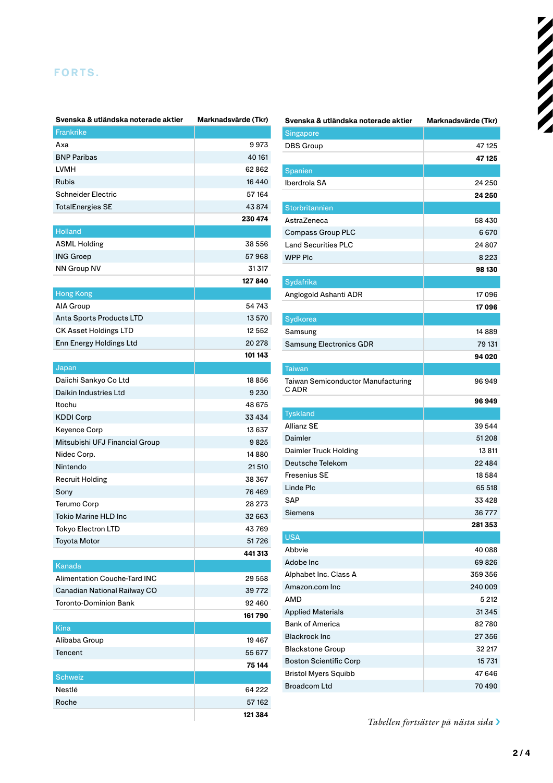### **FORTS.**

| Svenska & utländska noterade aktier | Marknadsvärde (Tkr) |
|-------------------------------------|---------------------|
| Frankrike                           |                     |
| Axa                                 | 9973                |
| <b>BNP Paribas</b>                  | 40 161              |
| <b>LVMH</b>                         | 62862               |
| <b>Rubis</b>                        | 16440               |
| <b>Schneider Electric</b>           | 57 164              |
| <b>TotalEnergies SE</b>             | 43874               |
|                                     | 230 474             |
| <b>Holland</b>                      |                     |
| <b>ASML Holding</b>                 | 38 556              |
| <b>ING Groep</b>                    | 57968               |
| <b>NN Group NV</b>                  | 31317               |
|                                     | 127840              |
| <b>Hong Kong</b>                    |                     |
| AIA Group                           | 54 743              |
| Anta Sports Products LTD            | 13 570              |
| <b>CK Asset Holdings LTD</b>        | 12 552              |
| Enn Energy Holdings Ltd             | 20 278              |
|                                     | 101 143             |
| Japan                               |                     |
| Daiichi Sankyo Co Ltd               | 18856               |
| Daikin Industries Ltd               | 9 2 3 0             |
| Itochu                              | 48 675              |
| <b>KDDI Corp</b>                    | 33 434              |
| Keyence Corp                        | 13 637              |
| Mitsubishi UFJ Financial Group      | 9825                |
| Nidec Corp.                         | 14880               |
| Nintendo                            | 21510               |
| <b>Recruit Holding</b>              | 38 367              |
| Sony                                | 76469               |
| <b>Terumo Corp</b>                  | 28 273              |
| <b>Tokio Marine HLD Inc</b>         | 32 663              |
| Tokyo Electron LTD                  | 43769               |
| <b>Toyota Motor</b>                 | 51726               |
|                                     | 441313              |
| Kanada                              |                     |
| <b>Alimentation Couche-Tard INC</b> | 29 558              |
| Canadian National Railway CO        | 39772               |
| Toronto-Dominion Bank               | 92460               |
|                                     | 161790              |
| Kina                                |                     |
| Alibaba Group                       | 19467               |
| Tencent                             | 55 677              |
|                                     | 75 144              |
| <b>Schweiz</b>                      |                     |
| Nestlé                              | 64 222              |
| Roche                               | 57 162              |
|                                     | 121 384             |

| Svenska & utländska noterade aktier                | Marknadsvärde (Tkr) |
|----------------------------------------------------|---------------------|
| Singapore                                          |                     |
| DBS Group                                          | 47 125              |
|                                                    | 47 125              |
| Spanien                                            |                     |
| Iberdrola SA                                       | 24 250              |
|                                                    | 24 250              |
| Storbritannien                                     |                     |
| AstraZeneca                                        | 58 430              |
| Compass Group PLC                                  | 6670                |
| <b>Land Securities PLC</b>                         | 24 807              |
| <b>WPP PIc</b>                                     | 8 2 2 3             |
|                                                    | 98 130              |
| Sydafrika                                          |                     |
| Anglogold Ashanti ADR                              | 17096               |
|                                                    | 17096               |
| Sydkorea                                           |                     |
| Samsung                                            | 14889               |
| <b>Samsung Electronics GDR</b>                     | 79 131              |
|                                                    | 94 020              |
|                                                    |                     |
| Taiwan                                             | 96949               |
| Taiwan Semiconductor Manufacturing<br>C ADR        |                     |
|                                                    | 96949               |
| <b>Tyskland</b>                                    |                     |
|                                                    |                     |
| Allianz SE                                         | 39544               |
| Daimler                                            | 51208               |
| Daimler Truck Holding                              | 13811               |
| Deutsche Telekom                                   | 22 4 8 4            |
| Fresenius SE                                       | 18584               |
| Linde Plc                                          | 65 518              |
| SAP                                                | 33428               |
|                                                    |                     |
| Siemens                                            | 36777               |
|                                                    | 281353              |
| <b>USA</b>                                         |                     |
| Abbvie                                             | 40 088              |
| Adobe Inc                                          | 69826               |
| Alphabet Inc. Class A                              | 359 356             |
| Amazon.com Inc                                     | 240 009             |
| AMD                                                | 5 212               |
| <b>Applied Materials</b>                           | 31345               |
| <b>Bank of America</b>                             | 82780               |
| <b>Blackrock Inc</b>                               | 27 356              |
| <b>Blackstone Group</b>                            | 32 217              |
| <b>Boston Scientific Corp</b>                      | 15 731              |
| <b>Bristol Myers Squibb</b><br><b>Broadcom Ltd</b> | 47 646<br>70 490    |

*Tabellen fortsätter på nästa sida* ›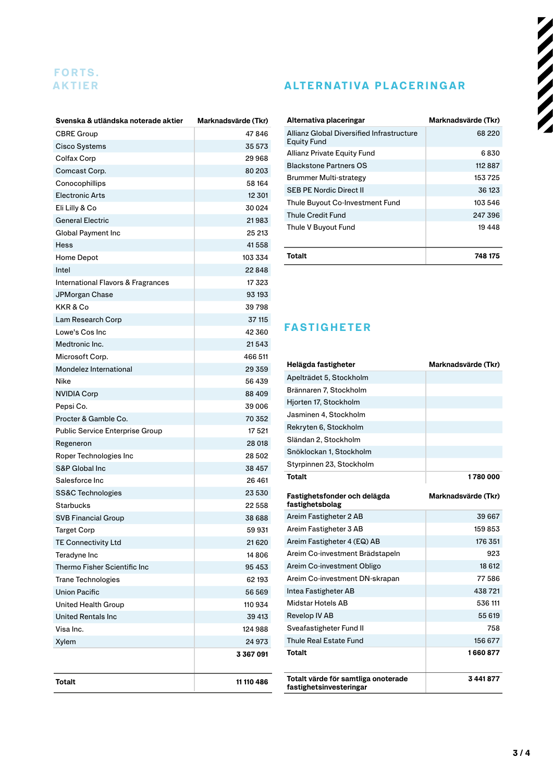# **FORTS.**

| Svenska & utländska noterade aktier    | Marknadsvärde (Tkr) |
|----------------------------------------|---------------------|
| <b>CBRE Group</b>                      | 47846               |
| Cisco Systems                          | 35 573              |
| Colfax Corp                            | 29968               |
| Comcast Corp.                          | 80 203              |
| Conocophillips                         | 58 164              |
| <b>Electronic Arts</b>                 | 12 301              |
| Eli Lilly & Co                         | 30 0 24             |
| <b>General Electric</b>                | 21983               |
| Global Payment Inc                     | 25 213              |
| <b>Hess</b>                            | 41558               |
| Home Depot                             | 103 334             |
| Intel                                  | 22848               |
| International Flavors & Fragrances     | 17 323              |
| JPMorgan Chase                         | 93 193              |
| KKR&Co                                 | 39798               |
| Lam Research Corp                      | 37 115              |
| Lowe's Cos Inc                         | 42 360              |
| Medtronic Inc.                         | 21543               |
| Microsoft Corp.                        | 466 511             |
| Mondelez International                 | 29359               |
| Nike                                   | 56 439              |
| <b>NVIDIA Corp</b>                     | 88 409              |
| Pepsi Co.                              | 39 006              |
| Procter & Gamble Co.                   | 70 352              |
| <b>Public Service Enterprise Group</b> | 17 521              |
| Regeneron                              | 28 018              |
| Roper Technologies Inc                 | 28 502              |
| S&P Global Inc                         | 38 457              |
| Salesforce Inc.                        | 26 4 61             |
| <b>SS&amp;C Technologies</b>           | 23 530              |
| Starbucks                              | 22 558              |
| <b>SVB Financial Group</b>             | 38 688              |
| Target Corp                            | 59 931              |
| <b>TE Connectivity Ltd</b>             | 21620               |
| Teradyne Inc                           | 14806               |
| Thermo Fisher Scientific Inc           | 95 453              |
| <b>Trane Technologies</b>              | 62 193              |
| <b>Union Pacific</b>                   | 56 569              |
| United Health Group                    | 110 934             |
| <b>United Rentals Inc</b>              | 39 413              |
| Visa Inc.                              | 124988              |
| Xylem                                  | 24 973              |
|                                        | 3367091             |
| <b>Totalt</b>                          | 11 110 486          |

## **AKTIER ALTERNATIVA PLACERINGAR**

| Alternativa placeringar                                  | Marknadsvärde (Tkr) |
|----------------------------------------------------------|---------------------|
| Allianz Global Diversified Infrastructure<br>Equity Fund | 68 2 2 0            |
| Allianz Private Equity Fund                              | 6 830               |
| <b>Blackstone Partners OS</b>                            | 112887              |
| Brummer Multi-strategy                                   | 153725              |
| <b>SFB PF Nordic Direct II</b>                           | 36 123              |
| Thule Buyout Co-Investment Fund                          | 103 546             |
| Thule Credit Fund                                        | 247 396             |
| Thule V Buyout Fund                                      | 19448               |
| Totalt                                                   | 748 175             |

# **FASTIGHETER**

| Helägda fastigheter                                            | Marknadsvärde (Tkr) |
|----------------------------------------------------------------|---------------------|
| Apelträdet 5, Stockholm                                        |                     |
| Brännaren 7, Stockholm                                         |                     |
| Hjorten 17, Stockholm                                          |                     |
| Jasminen 4, Stockholm                                          |                     |
| Rekryten 6, Stockholm                                          |                     |
| Sländan 2, Stockholm                                           |                     |
| Snöklockan 1, Stockholm                                        |                     |
| Styrpinnen 23, Stockholm                                       |                     |
| <b>Totalt</b>                                                  | 1780000             |
| Fastighetsfonder och delägda<br>fastighetsbolag                | Marknadsvärde (Tkr) |
| Areim Fastigheter 2 AB                                         | 39 667              |
| Areim Fastigheter 3 AB                                         | 159853              |
| Areim Fastigheter 4 (EQ) AB                                    | 176 351             |
| Areim Co-investment Brädstapeln                                | 923                 |
| Areim Co-investment Obligo                                     | 18 612              |
| Areim Co-investment DN-skrapan                                 | 77586               |
| Intea Fastigheter AB                                           | 438721              |
| Midstar Hotels AB                                              | 536 111             |
| Revelop IV AB                                                  | 55 619              |
| Sveafastigheter Fund II                                        | 758                 |
| Thule Real Estate Fund                                         | 156 677             |
| <b>Totalt</b>                                                  | 1660877             |
| Totalt värde för samtliga onoterade<br>fastighetsinvesteringar | 3 441 877           |